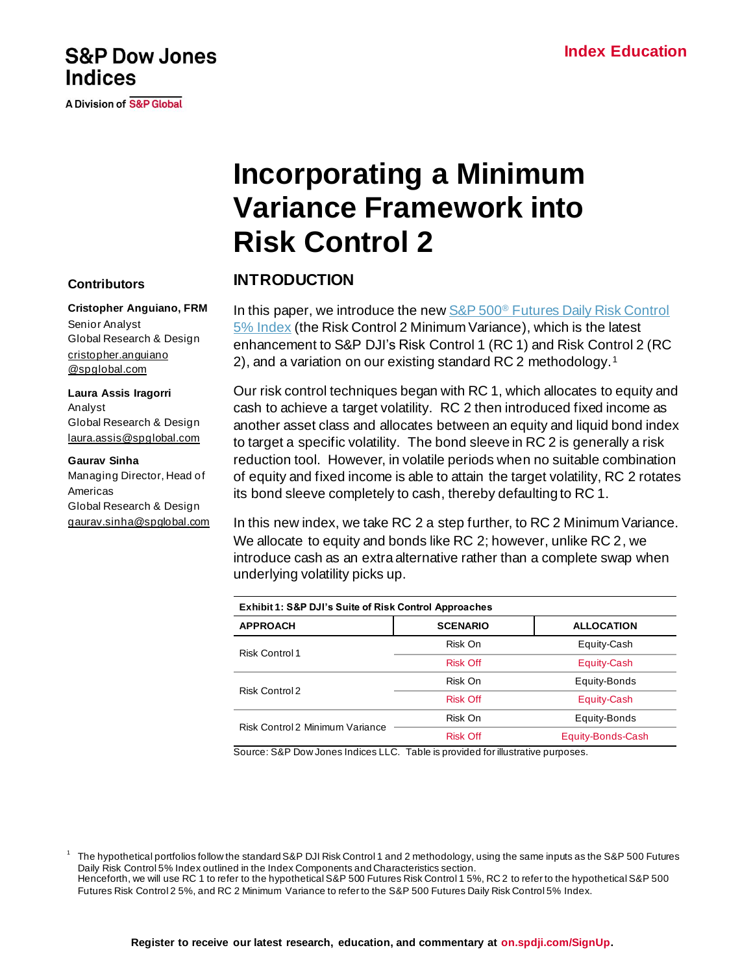# **Incorporating a Minimum Variance Framework into Risk Control 2**

## **INTRODUCTION**

In this paper, we introduce the new S&P 500<sup>®</sup> Futures Daily Risk Control [5% Index](https://www.spglobal.com/spdji/en/indices/strategy/sp-500-futures-daily-risk-control-5-index/#overview) (the Risk Control 2 Minimum Variance), which is the latest enhancement to S&P DJI's Risk Control 1 (RC 1) and Risk Control 2 (RC 2), and a variation on our existing standard RC 2 methodology.<sup>1</sup>

Our risk control techniques began with RC 1, which allocates to equity and cash to achieve a target volatility. RC 2 then introduced fixed income as another asset class and allocates between an equity and liquid bond index to target a specific volatility. The bond sleeve in RC 2 is generally a risk reduction tool. However, in volatile periods when no suitable combination of equity and fixed income is able to attain the target volatility, RC 2 rotates its bond sleeve completely to cash, thereby defaulting to RC 1.

In this new index, we take RC 2 a step further, to RC 2 Minimum Variance. We allocate to equity and bonds like RC 2; however, unlike RC 2, we introduce cash as an extra alternative rather than a complete swap when underlying volatility picks up.

| Exhibit 1: S&P DJI's Suite of Risk Control Approaches |                 |                   |  |
|-------------------------------------------------------|-----------------|-------------------|--|
| <b>APPROACH</b>                                       | <b>SCENARIO</b> | <b>ALLOCATION</b> |  |
| <b>Risk Control 1</b>                                 | Risk On         | Equity-Cash       |  |
|                                                       | <b>Risk Off</b> | Equity-Cash       |  |
| Risk Control 2                                        | Risk On         | Equity-Bonds      |  |
|                                                       | <b>Risk Off</b> | Equity-Cash       |  |
| Risk Control 2 Minimum Variance                       | Risk On         | Equity-Bonds      |  |
|                                                       | <b>Risk Off</b> | Equity-Bonds-Cash |  |

Source: S&P Dow Jones Indices LLC. Table is provided for illustrative purposes.

 The hypothetical portfolios follow the standard S&P DJI Risk Control 1 and 2 methodology, using the same inputs as the S&P 500 Futures Daily Risk Control 5% Index outlined in the Index Components and Characteristics section. Henceforth, we will use RC 1 to refer to the hypothetical S&P 500 Futures Risk Control 1 5%, RC 2 to refer to the hypothetical S&P 500

Futures Risk Control 2 5%, and RC 2 Minimum Variance to refer to the S&P 500 Futures Daily Risk Control 5% Index.

**Cristopher Anguiano, FRM**

**S&P Dow Jones** 

**A Division of S&P Global** 

**Indices** 

Senior Analyst Global Research & Design [cristopher.anguiano](mailto:cristopher.anguiano@spglobal.com) [@spglobal.com](mailto:cristopher.anguiano@spglobal.com)

**Laura Assis Iragorri** Analyst Global Research & Design [laura.assis@spglobal.com](mailto:laura.assis@spglobal.com)

#### **Gaurav Sinha**

1

Managing Director, Head of Americas Global Research & Design [gaurav.sinha@spglobal.com](mailto:gaurav.sinha@spglobal.com)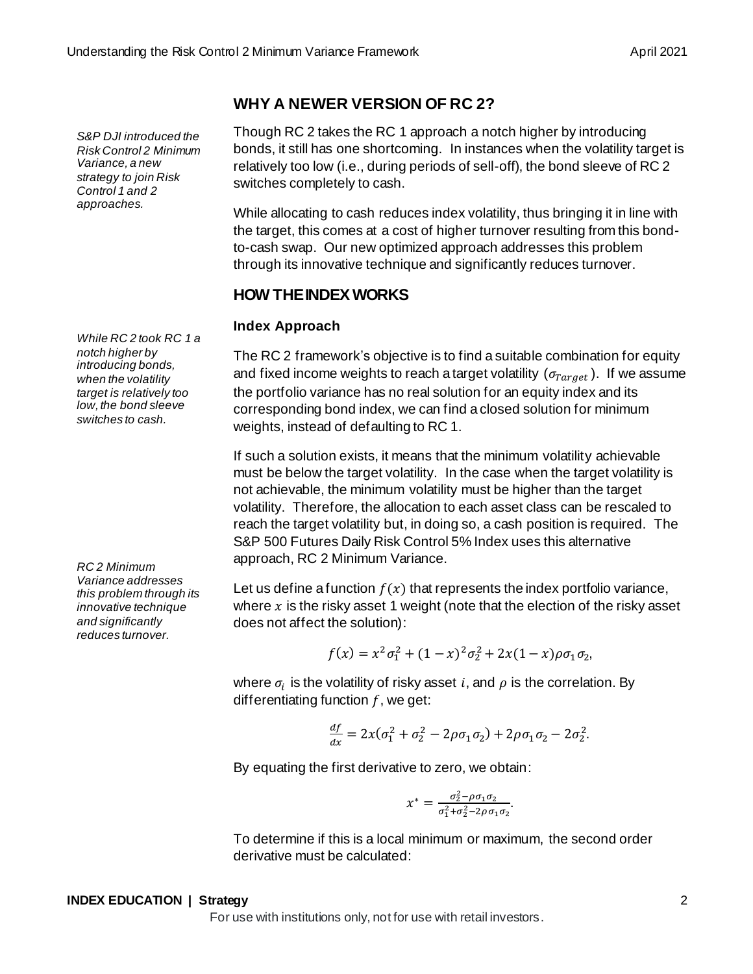# **WHY A NEWER VERSION OF RC 2?**

Though RC 2 takes the RC 1 approach a notch higher by introducing bonds, it still has one shortcoming. In instances when the volatility target is relatively too low (i.e., during periods of sell-off), the bond sleeve of RC 2 switches completely to cash.

While allocating to cash reduces index volatility, thus bringing it in line with the target, this comes at a cost of higher turnover resulting from this bondto-cash swap. Our new optimized approach addresses this problem through its innovative technique and significantly reduces turnover.

## **HOW THE INDEX WORKS**

## **Index Approach**

The RC 2 framework's objective is to find a suitable combination for equity and fixed income weights to reach a target volatility ( $\sigma_{Target}$ ). If we assume the portfolio variance has no real solution for an equity index and its corresponding bond index, we can find a closed solution for minimum weights, instead of defaulting to RC 1.

If such a solution exists, it means that the minimum volatility achievable must be below the target volatility. In the case when the target volatility is not achievable, the minimum volatility must be higher than the target volatility. Therefore, the allocation to each asset class can be rescaled to reach the target volatility but, in doing so, a cash position is required. The S&P 500 Futures Daily Risk Control 5% Index uses this alternative approach, RC 2 Minimum Variance.

Let us define a function  $f(x)$  that represents the index portfolio variance, where  $x$  is the risky asset 1 weight (note that the election of the risky asset does not affect the solution):

$$
f(x) = x^2 \sigma_1^2 + (1 - x)^2 \sigma_2^2 + 2x(1 - x)\rho \sigma_1 \sigma_2,
$$

where  $\sigma_i$  is the volatility of risky asset  $i,$  and  $\rho$  is the correlation. By differentiating function  $f$ , we get:

$$
\frac{df}{dx} = 2x(\sigma_1^2 + \sigma_2^2 - 2\rho\sigma_1\sigma_2) + 2\rho\sigma_1\sigma_2 - 2\sigma_2^2.
$$

By equating the first derivative to zero, we obtain:

$$
x^* = \frac{\sigma_2^2 - \rho \sigma_1 \sigma_2}{\sigma_1^2 + \sigma_2^2 - 2\rho \sigma_1 \sigma_2}.
$$

To determine if this is a local minimum or maximum, the second order derivative must be calculated:

*While RC 2 took RC 1 a notch higher by introducing bonds, when the volatility target is relatively too low, the bond sleeve switches to cash.* 

*S&P DJI introduced the Risk Control 2 Minimum Variance, a new strategy to join Risk Control 1 and 2 approaches.*

*RC 2 Minimum Variance addresses this problem through its innovative technique and significantly reduces turnover.*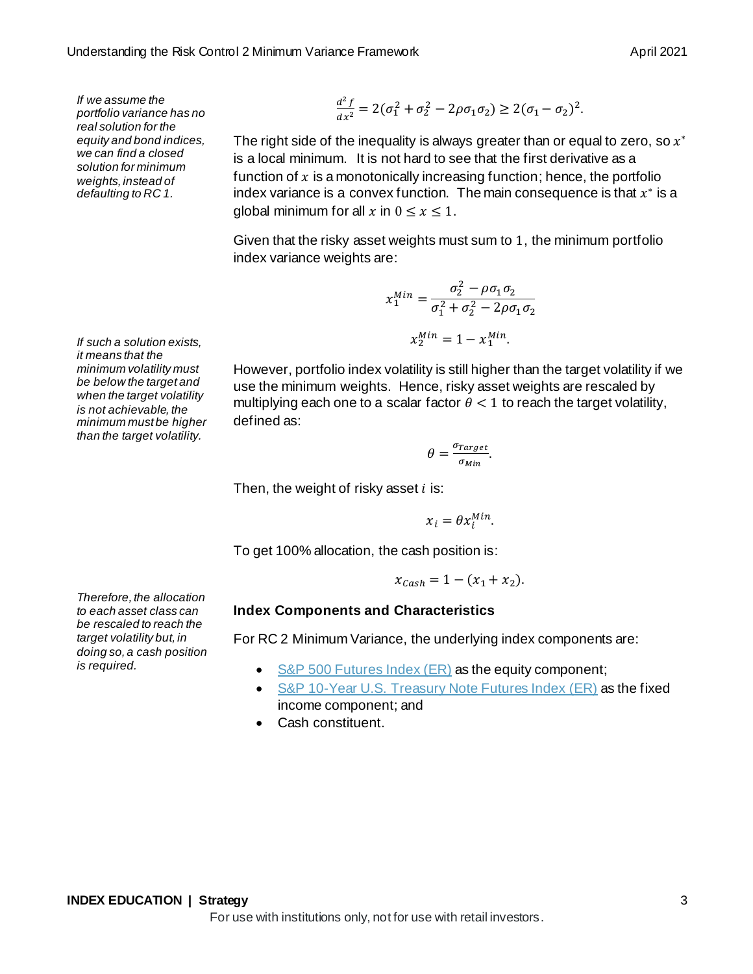*If we assume the portfolio variance has no real solution for the equity and bond indices, we can find a closed solution for minimum weights, instead of defaulting to RC 1.*

*If such a solution exists, it means that the minimum volatility must be below the target and when the target volatility is not achievable, the minimum must be higher than the target volatility.* 

$$
\frac{d^2f}{dx^2} = 2(\sigma_1^2 + \sigma_2^2 - 2\rho\sigma_1\sigma_2) \ge 2(\sigma_1 - \sigma_2)^2.
$$

The right side of the inequality is always greater than or equal to zero, so  $x^\ast$ is a local minimum. It is not hard to see that the first derivative as a function of  $x$  is a monotonically increasing function; hence, the portfolio index variance is a convex function. The main consequence is that  $x^*$  is a global minimum for all x in  $0 \le x \le 1$ .

Given that the risky asset weights must sum to 1, the minimum portfolio index variance weights are:

$$
x_1^{Min} = \frac{\sigma_2^2 - \rho \sigma_1 \sigma_2}{\sigma_1^2 + \sigma_2^2 - 2\rho \sigma_1 \sigma_2}
$$

$$
x_2^{Min} = 1 - x_1^{Min}.
$$

However, portfolio index volatility is still higher than the target volatility if we use the minimum weights. Hence, risky asset weights are rescaled by multiplying each one to a scalar factor  $\theta < 1$  to reach the target volatility, defined as:

> $\theta = \frac{\sigma_{Target}}{2}$ <u>rarget</u><br><sup>О</sup>Міп</sub>

Then, the weight of risky asset  $i$  is:

$$
x_i = \theta x_i^{Min}.
$$

To get 100% allocation, the cash position is:

$$
x_{Cash} = 1 - (x_1 + x_2).
$$

#### **Index Components and Characteristics**

For RC 2 Minimum Variance, the underlying index components are:

- [S&P 500 Futures Index \(ER\)](https://www.spglobal.com/spdji/en/indices/strategy/sp-500-futures-index/) as the equity component;
- [S&P 10-Year U.S. Treasury Note Futures Index \(ER\)](https://www.spglobal.com/spdji/en/indices/fixed-income/sp-10-year-us-treasury-note-futures-total-return-index/#overview) as the fixed income component; and
- Cash constituent.

*Therefore, the allocation to each asset class can be rescaled to reach the target volatility but, in doing so, a cash position is required.*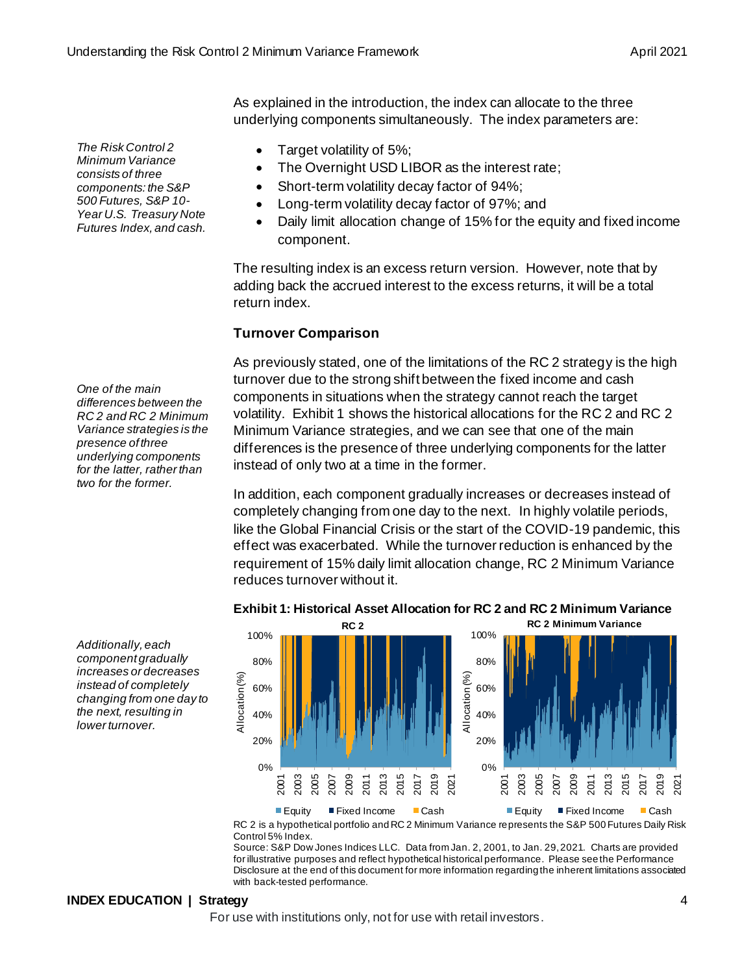*The Risk Control 2 Minimum Variance consists of three components: the S&P 500 Futures, S&P 10- Year U.S. Treasury Note Futures Index, and cash.*

*One of the main differences between the RC 2 and RC 2 Minimum Variance strategies is the presence of three underlying components for the latter, rather than two for the former.* 

As explained in the introduction, the index can allocate to the three underlying components simultaneously. The index parameters are:

- Target volatility of 5%;
- The Overnight USD LIBOR as the interest rate;
- Short-term volatility decay factor of 94%;
- Long-term volatility decay factor of 97%; and
- Daily limit allocation change of 15% for the equity and fixed income component.

The resulting index is an excess return version. However, note that by adding back the accrued interest to the excess returns, it will be a total return index.

## **Turnover Comparison**

As previously stated, one of the limitations of the RC 2 strategy is the high turnover due to the strong shift between the fixed income and cash components in situations when the strategy cannot reach the target volatility. Exhibit 1 shows the historical allocations for the RC 2 and RC 2 Minimum Variance strategies, and we can see that one of the main differences is the presence of three underlying components for the latter instead of only two at a time in the former.

In addition, each component gradually increases or decreases instead of completely changing from one day to the next. In highly volatile periods, like the Global Financial Crisis or the start of the COVID-19 pandemic, this effect was exacerbated. While the turnover reduction is enhanced by the requirement of 15% daily limit allocation change, RC 2 Minimum Variance reduces turnover without it.

**Exhibit 1: Historical Asset Allocation for RC 2 and RC 2 Minimum Variance**

*Additionally, each component gradually increases or decreases instead of completely changing from one day to the next, resulting in lower turnover.* 



■ Equity ■ Fixed Income ■ Cash ■ Equity ■ Fixed Income ■ Cash

RC 2 is a hypothetical portfolio and RC 2 Minimum Variance represents the S&P 500 Futures Daily Risk Control 5% Index.

Source: S&P Dow Jones Indices LLC. Data from Jan. 2, 2001, to Jan. 29, 2021. Charts are provided for illustrative purposes and reflect hypothetical historical performance. Please see the Performance Disclosure at the end of this document for more information regarding the inherent limitations associated with back-tested performance.

## **INDEX EDUCATION | Strategy** 4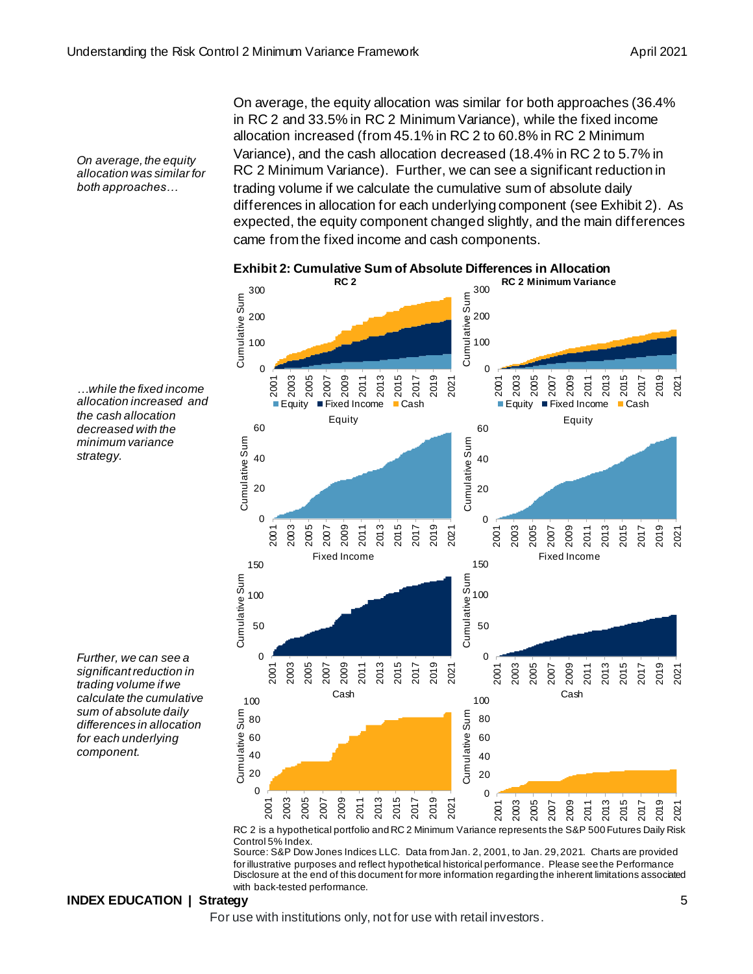*On average, the equity allocation was similar for both approaches…*

On average, the equity allocation was similar for both approaches (36.4% in RC 2 and 33.5% in RC 2 Minimum Variance), while the fixed income allocation increased (from 45.1% in RC 2 to 60.8% in RC 2 Minimum Variance), and the cash allocation decreased (18.4% in RC 2 to 5.7% in RC 2 Minimum Variance). Further, we can see a significant reduction in trading volume if we calculate the cumulative sum of absolute daily differences in allocation for each underlying component (see Exhibit 2). As expected, the equity component changed slightly, and the main differences came from the fixed income and cash components.



#### **Exhibit 2: Cumulative Sum of Absolute Differences in Allocation**

*decreased with the minimum variance strategy.*

*…while the fixed income allocation increased and the cash allocation* 

*Further, we can see a significant reduction in trading volume if we calculate the cumulative sum of absolute daily differences in allocation for each underlying component.*

> RC 2 is a hypothetical portfolio and RC 2 Minimum Variance represents the S&P 500 Futures Daily Risk Control 5% Index.

> Source: S&P Dow Jones Indices LLC. Data from Jan. 2, 2001, to Jan. 29, 2021. Charts are provided for illustrative purposes and reflect hypothetical historical performance. Please see the Performance Disclosure at the end of this document for more information regarding the inherent limitations associated with back-tested performance.

#### **INDEX EDUCATION | Strategy** 5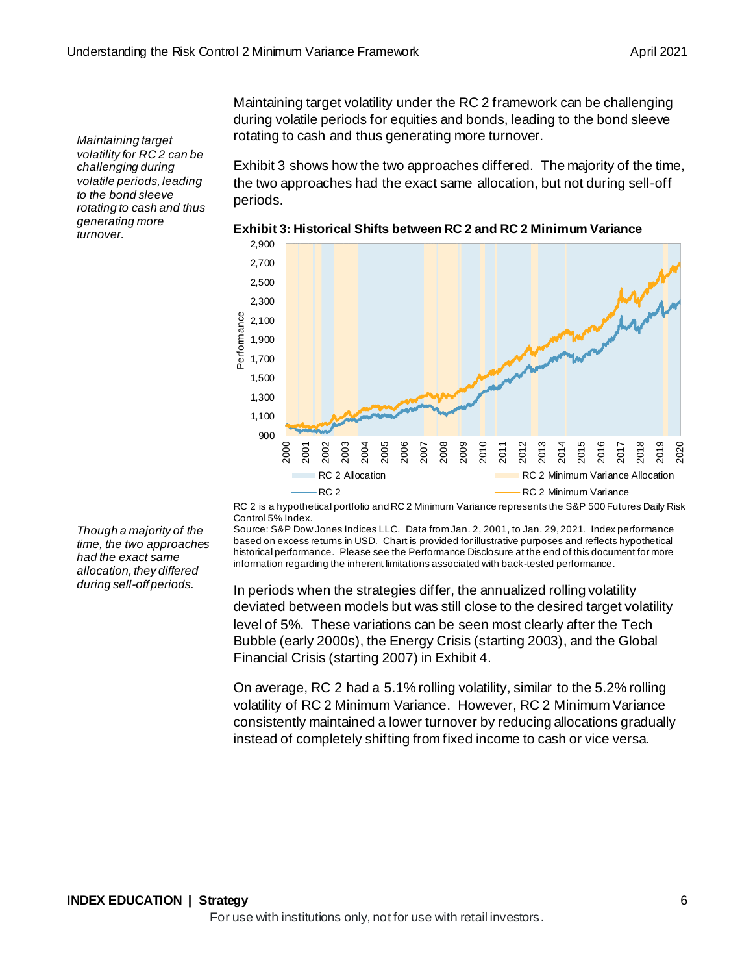*Maintaining target volatility for RC 2 can be challenging during volatile periods, leading to the bond sleeve rotating to cash and thus generating more turnover.*

Maintaining target volatility under the RC 2 framework can be challenging during volatile periods for equities and bonds, leading to the bond sleeve rotating to cash and thus generating more turnover.

Exhibit 3 shows how the two approaches differed. The majority of the time, the two approaches had the exact same allocation, but not during sell-off periods.



**Exhibit 3: Historical Shifts between RC 2 and RC 2 Minimum Variance**

RC 2 is a hypothetical portfolio and RC 2 Minimum Variance represents the S&P 500 Futures Daily Risk Control 5% Index.

Source: S&P Dow Jones Indices LLC. Data from Jan. 2, 2001, to Jan. 29, 2021. Index performance based on excess returns in USD. Chart is provided for illustrative purposes and reflects hypothetical historical performance. Please see the Performance Disclosure at the end of this document for more information regarding the inherent limitations associated with back-tested performance.

In periods when the strategies differ, the annualized rolling volatility deviated between models but was still close to the desired target volatility level of 5%. These variations can be seen most clearly after the Tech Bubble (early 2000s), the Energy Crisis (starting 2003), and the Global Financial Crisis (starting 2007) in Exhibit 4.

On average, RC 2 had a 5.1% rolling volatility, similar to the 5.2% rolling volatility of RC 2 Minimum Variance. However, RC 2 Minimum Variance consistently maintained a lower turnover by reducing allocations gradually instead of completely shifting from fixed income to cash or vice versa.

*Though a majority of the time, the two approaches had the exact same allocation, they differed during sell-off periods.*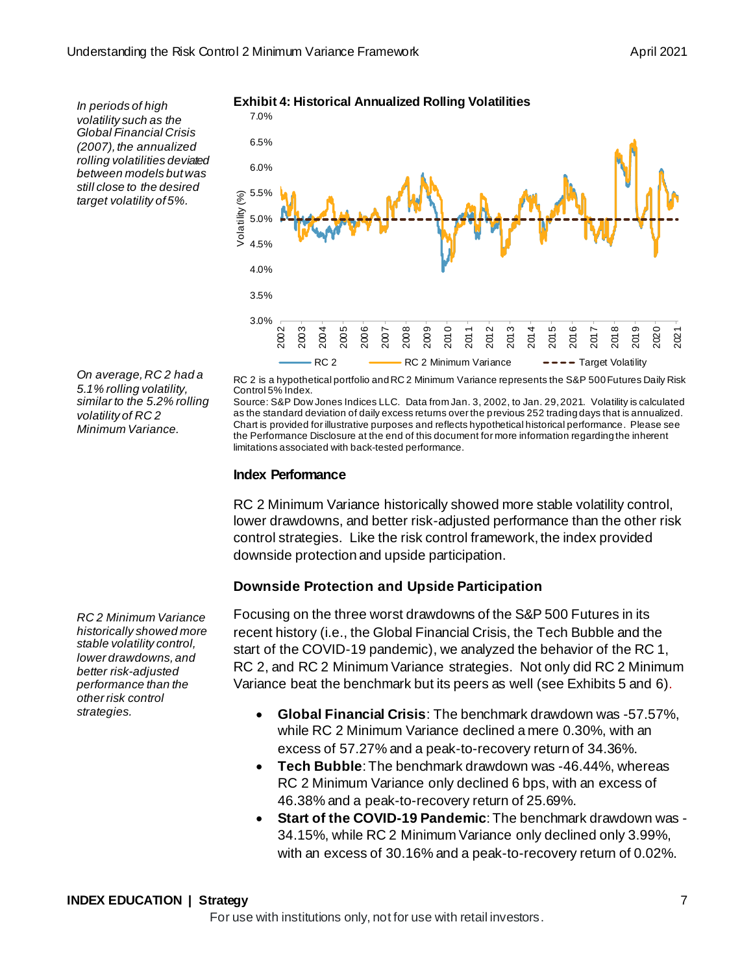*In periods of high volatility such as the Global Financial Crisis (2007), the annualized rolling volatilities deviated between models but was still close to the desired target volatility of 5%.*

*On average, RC 2 had a 5.1% rolling volatility, similar to the 5.2% rolling volatility of RC 2 Minimum Variance.*

*RC 2 Minimum Variance historically showed more stable volatility control, lower drawdowns, and better risk-adjusted performance than the other risk control strategies.*

**Exhibit 4: Historical Annualized Rolling Volatilities**



RC 2 is a hypothetical portfolio and RC 2 Minimum Variance represents the S&P 500 Futures Daily Risk Control 5% Index.

Source: S&P Dow Jones Indices LLC. Data from Jan. 3, 2002, to Jan. 29, 2021. Volatility is calculated as the standard deviation of daily excess returns over the previous 252 trading days that is annualized. Chart is provided for illustrative purposes and reflects hypothetical historical performance. Please see the Performance Disclosure at the end of this document for more information regarding the inherent limitations associated with back-tested performance.

### **Index Performance**

RC 2 Minimum Variance historically showed more stable volatility control, lower drawdowns, and better risk-adjusted performance than the other risk control strategies. Like the risk control framework, the index provided downside protection and upside participation.

## **Downside Protection and Upside Participation**

Focusing on the three worst drawdowns of the S&P 500 Futures in its recent history (i.e., the Global Financial Crisis, the Tech Bubble and the start of the COVID-19 pandemic), we analyzed the behavior of the RC 1, RC 2, and RC 2 Minimum Variance strategies. Not only did RC 2 Minimum Variance beat the benchmark but its peers as well (see Exhibits 5 and 6).

- **Global Financial Crisis**: The benchmark drawdown was -57.57%, while RC 2 Minimum Variance declined a mere 0.30%, with an excess of 57.27% and a peak-to-recovery return of 34.36%.
- **Tech Bubble**: The benchmark drawdown was -46.44%, whereas RC 2 Minimum Variance only declined 6 bps, with an excess of 46.38% and a peak-to-recovery return of 25.69%.
- **Start of the COVID-19 Pandemic**: The benchmark drawdown was 34.15%, while RC 2 Minimum Variance only declined only 3.99%, with an excess of 30.16% and a peak-to-recovery return of 0.02%.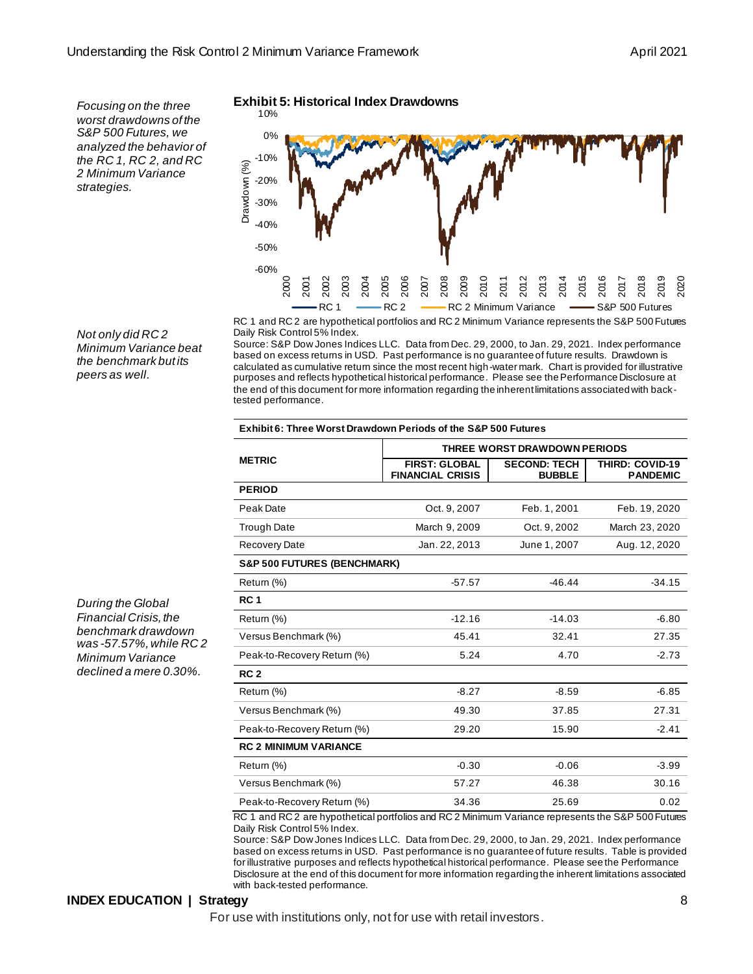*Focusing on the three worst drawdowns of the S&P 500 Futures, we analyzed the behavior of the RC 1, RC 2, and RC 2 Minimum Variance strategies.*

*Not only did RC 2 Minimum Variance beat the benchmark but its peers as well.*

*During the Global Financial Crisis, the benchmark drawdown was -57.57%, while RC 2 Minimum Variance declined a mere 0.30%.* 

#### **Exhibit 5: Historical Index Drawdowns** 10%



RC 1 and RC 2 are hypothetical portfolios and RC 2 Minimum Variance represents the S&P 500 Futures Daily Risk Control 5% Index.

Source: S&P Dow Jones Indices LLC. Data from Dec. 29, 2000, to Jan. 29, 2021. Index performance based on excess returns in USD. Past performance is no guarantee of future results. Drawdown is calculated as cumulative return since the most recent high-water mark. Chart is provided for illustrative purposes and reflects hypothetical historical performance. Please see the Performance Disclosure at the end of this document for more information regarding the inherent limitations associated with backtested performance.

#### **Exhibit 6: Three Worst Drawdown Periods of the S&P 500 Futures**

|                                        | THREE WORST DRAWDOWN PERIODS                    |                                      |                                           |  |
|----------------------------------------|-------------------------------------------------|--------------------------------------|-------------------------------------------|--|
| <b>METRIC</b>                          | <b>FIRST: GLOBAL</b><br><b>FINANCIAL CRISIS</b> | <b>SECOND: TECH</b><br><b>BUBBLE</b> | <b>THIRD: COVID-19</b><br><b>PANDEMIC</b> |  |
| <b>PERIOD</b>                          |                                                 |                                      |                                           |  |
| Peak Date                              | Oct. 9, 2007                                    | Feb. 1, 2001                         | Feb. 19, 2020                             |  |
| <b>Trough Date</b>                     | March 9, 2009                                   | Oct. 9, 2002                         | March 23, 2020                            |  |
| <b>Recovery Date</b>                   | Jan. 22, 2013                                   | June 1, 2007                         | Aug. 12, 2020                             |  |
| <b>S&amp;P 500 FUTURES (BENCHMARK)</b> |                                                 |                                      |                                           |  |
| Return (%)                             | $-57.57$                                        | $-46.44$                             | $-34.15$                                  |  |
| RC <sub>1</sub>                        |                                                 |                                      |                                           |  |
| Return (%)                             | $-12.16$                                        | $-14.03$                             | $-6.80$                                   |  |
| Versus Benchmark (%)                   | 45.41                                           | 32.41                                | 27.35                                     |  |
| Peak-to-Recovery Return (%)            | 5.24                                            | 4.70                                 | $-2.73$                                   |  |
| RC <sub>2</sub>                        |                                                 |                                      |                                           |  |
| Return (%)                             | $-8.27$                                         | $-8.59$                              | $-6.85$                                   |  |
| Versus Benchmark (%)                   | 49.30                                           | 37.85                                | 27.31                                     |  |
| Peak-to-Recovery Return (%)            | 29.20                                           | 15.90                                | $-2.41$                                   |  |
| <b>RC 2 MINIMUM VARIANCE</b>           |                                                 |                                      |                                           |  |
| Return (%)                             | $-0.30$                                         | $-0.06$                              | $-3.99$                                   |  |
| Versus Benchmark (%)                   | 57.27                                           | 46.38                                | 30.16                                     |  |
| Peak-to-Recovery Return (%)            | 34.36                                           | 25.69                                | 0.02                                      |  |

RC 1 and RC 2 are hypothetical portfolios and RC 2 Minimum Variance represents the S&P 500 Futures Daily Risk Control 5% Index.

Source: S&P Dow Jones Indices LLC. Data from Dec. 29, 2000, to Jan. 29, 2021. Index performance based on excess returns in USD. Past performance is no guarantee of future results. Table is provided for illustrative purposes and reflects hypothetical historical performance. Please see the Performance Disclosure at the end of this document for more information regarding the inherent limitations associated with back-tested performance.

#### **INDEX EDUCATION | Strategy** 8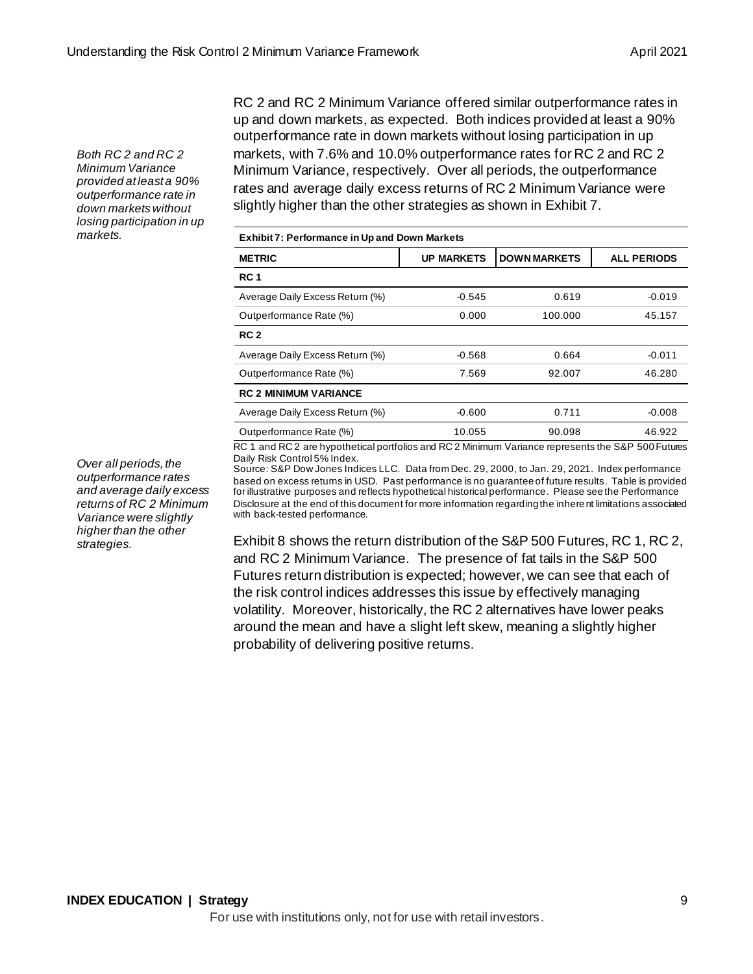*Both RC 2 and RC 2 Minimum Variance provided at least a 90% outperformance rate in down markets without losing participation in up markets.*

RC 2 and RC 2 Minimum Variance offered similar outperformance rates in up and down markets, as expected. Both indices provided at least a 90% outperformance rate in down markets without losing participation in up markets, with 7.6% and 10.0% outperformance rates for RC 2 and RC 2 Minimum Variance, respectively. Over all periods, the outperformance rates and average daily excess returns of RC 2 Minimum Variance were slightly higher than the other strategies as shown in Exhibit 7.

| <b>Exhibit 7: Performance in Up and Down Markets</b> |                   |                     |                    |
|------------------------------------------------------|-------------------|---------------------|--------------------|
| <b>METRIC</b>                                        | <b>UP MARKETS</b> | <b>DOWN MARKETS</b> | <b>ALL PERIODS</b> |
| <b>RC1</b>                                           |                   |                     |                    |
| Average Daily Excess Return (%)                      | $-0.545$          | 0.619               | $-0.019$           |
| Outperformance Rate (%)                              | 0.000             | 100.000             | 45.157             |
| RC 2                                                 |                   |                     |                    |
| Average Daily Excess Return (%)                      | $-0.568$          | 0.664               | $-0.011$           |
| Outperformance Rate (%)                              | 7.569             | 92.007              | 46.280             |
| <b>RC 2 MINIMUM VARIANCE</b>                         |                   |                     |                    |
| Average Daily Excess Return (%)                      | $-0.600$          | 0.711               | $-0.008$           |
| Outperformance Rate (%)                              | 10.055            | 90.098              | 46.922             |

RC 1 and RC 2 are hypothetical portfolios and RC 2 Minimum Variance represents the S&P 500 Futures Daily Risk Control 5% Index.

Source: S&P Dow Jones Indices LLC. Data from Dec. 29, 2000, to Jan. 29, 2021. Index performance based on excess returns in USD. Past performance is no guarantee of future results. Table is provided for illustrative purposes and reflects hypothetical historical performance. Please see the Performance Disclosure at the end of this document for more information regarding the inherent limitations associated with back-tested performance.

Exhibit 8 shows the return distribution of the S&P 500 Futures, RC 1, RC 2, and RC 2 Minimum Variance. The presence of fat tails in the S&P 500 Futures return distribution is expected; however, we can see that each of the risk control indices addresses this issue by effectively managing volatility. Moreover, historically, the RC 2 alternatives have lower peaks around the mean and have a slight left skew, meaning a slightly higher probability of delivering positive returns.

*Over all periods, the outperformance rates and average daily excess returns of RC 2 Minimum Variance were slightly higher than the other strategies.*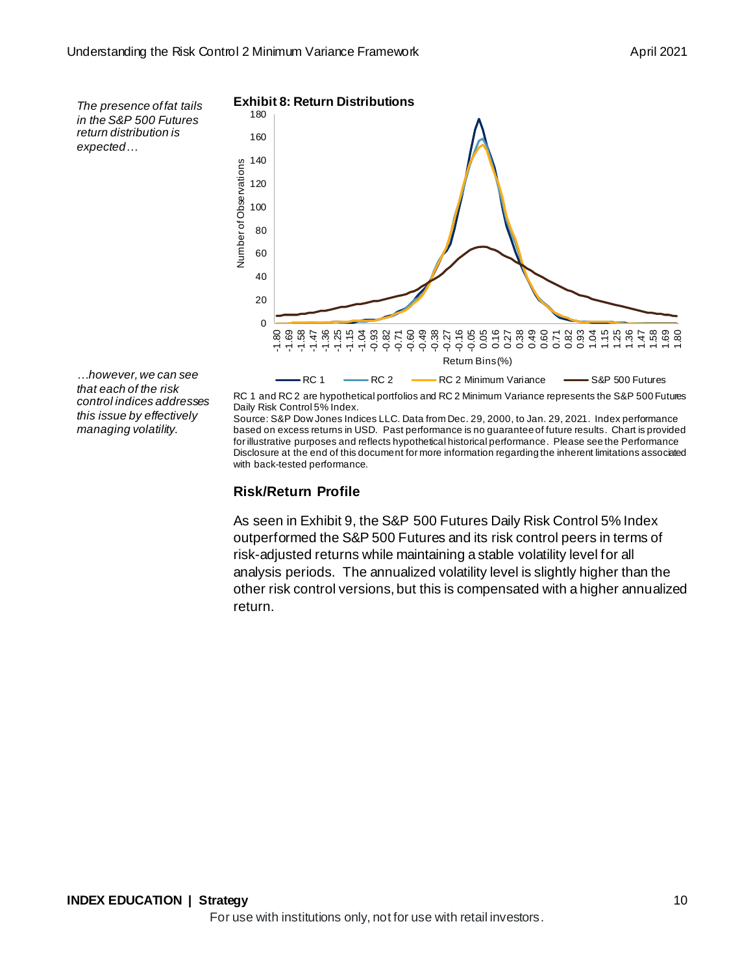*The presence of fat tails in the S&P 500 Futures return distribution is expected…*



*…however, we can see that each of the risk control indices addresses this issue by effectively managing volatility.*

RC 1 and RC 2 are hypothetical portfolios and RC 2 Minimum Variance represents the S&P 500 Futures Daily Risk Control 5% Index.

Source: S&P Dow Jones Indices LLC. Data from Dec. 29, 2000, to Jan. 29, 2021. Index performance based on excess returns in USD. Past performance is no guarantee of future results. Chart is provided for illustrative purposes and reflects hypothetical historical performance. Please see the Performance Disclosure at the end of this document for more information regarding the inherent limitations associated with back-tested performance.

#### **Risk/Return Profile**

As seen in Exhibit 9, the S&P 500 Futures Daily Risk Control 5% Index outperformed the S&P 500 Futures and its risk control peers in terms of risk-adjusted returns while maintaining a stable volatility level for all analysis periods. The annualized volatility level is slightly higher than the other risk control versions, but this is compensated with a higher annualized return.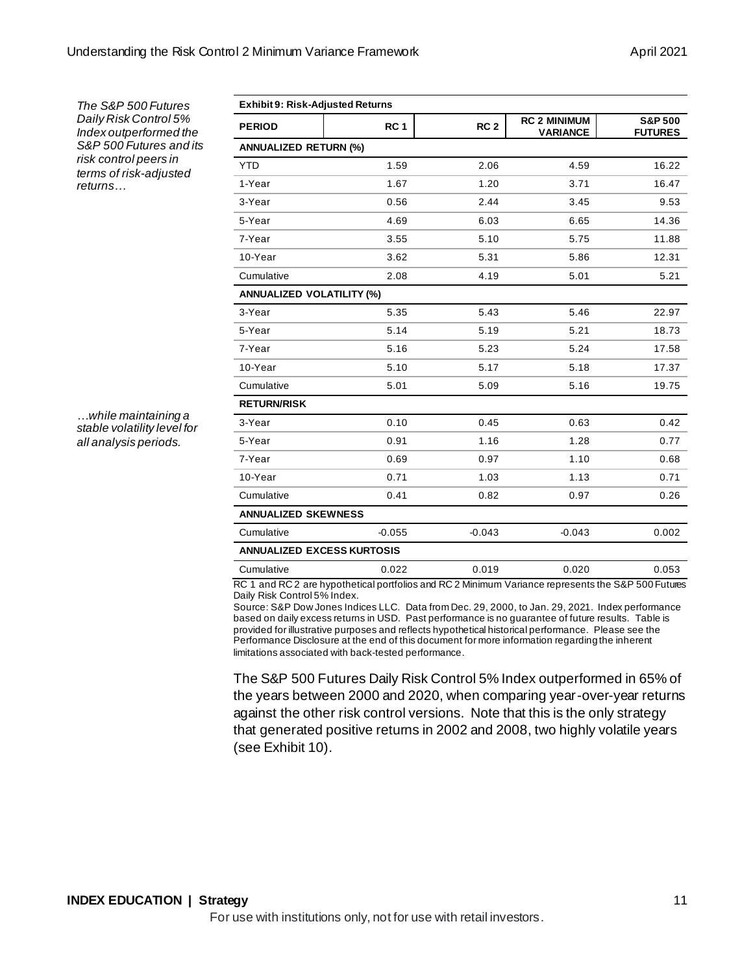| The S&P 500 Futures                                        | <b>Exhibit 9: Risk-Adjusted Returns</b> |                 |                 |                                        |                                      |  |
|------------------------------------------------------------|-----------------------------------------|-----------------|-----------------|----------------------------------------|--------------------------------------|--|
| Daily Risk Control 5%<br>Index outperformed the            | <b>PERIOD</b>                           | RC <sub>1</sub> | RC <sub>2</sub> | <b>RC 2 MINIMUM</b><br><b>VARIANCE</b> | <b>S&amp;P 500</b><br><b>FUTURES</b> |  |
| S&P 500 Futures and its                                    | <b>ANNUALIZED RETURN (%)</b>            |                 |                 |                                        |                                      |  |
| risk control peers in<br>terms of risk-adjusted<br>returns | <b>YTD</b>                              | 1.59            | 2.06            | 4.59                                   | 16.22                                |  |
|                                                            | 1-Year                                  | 1.67            | 1.20            | 3.71                                   | 16.47                                |  |
|                                                            | 3-Year                                  | 0.56            | 2.44            | 3.45                                   | 9.53                                 |  |
|                                                            | 5-Year                                  | 4.69            | 6.03            | 6.65                                   | 14.36                                |  |
|                                                            | 7-Year                                  | 3.55            | 5.10            | 5.75                                   | 11.88                                |  |
|                                                            | 10-Year                                 | 3.62            | 5.31            | 5.86                                   | 12.31                                |  |
|                                                            | Cumulative                              | 2.08            | 4.19            | 5.01                                   | 5.21                                 |  |
|                                                            | <b>ANNUALIZED VOLATILITY (%)</b>        |                 |                 |                                        |                                      |  |
|                                                            | 3-Year                                  | 5.35            | 5.43            | 5.46                                   | 22.97                                |  |
|                                                            | 5-Year                                  | 5.14            | 5.19            | 5.21                                   | 18.73                                |  |
|                                                            | 7-Year                                  | 5.16            | 5.23            | 5.24                                   | 17.58                                |  |
|                                                            | 10-Year                                 | 5.10            | 5.17            | 5.18                                   | 17.37                                |  |
|                                                            | Cumulative                              | 5.01            | 5.09            | 5.16                                   | 19.75                                |  |
|                                                            | <b>RETURN/RISK</b>                      |                 |                 |                                        |                                      |  |
| while maintaining a<br>stable volatility level for         | 3-Year                                  | 0.10            | 0.45            | 0.63                                   | 0.42                                 |  |
| all analysis periods.                                      | 5-Year                                  | 0.91            | 1.16            | 1.28                                   | 0.77                                 |  |
|                                                            | 7-Year                                  | 0.69            | 0.97            | 1.10                                   | 0.68                                 |  |
|                                                            | 10-Year                                 | 0.71            | 1.03            | 1.13                                   | 0.71                                 |  |
|                                                            | Cumulative                              | 0.41            | 0.82            | 0.97                                   | 0.26                                 |  |
|                                                            | <b>ANNUALIZED SKEWNESS</b>              |                 |                 |                                        |                                      |  |
|                                                            | Cumulative                              | $-0.055$        | $-0.043$        | $-0.043$                               | 0.002                                |  |
|                                                            | <b>ANNUALIZED EXCESS KURTOSIS</b>       |                 |                 |                                        |                                      |  |
|                                                            | Cumulative                              | 0.022           | 0.019           | 0.020                                  | 0.053                                |  |
|                                                            |                                         |                 |                 |                                        |                                      |  |

RC 1 and RC 2 are hypothetical portfolios and RC 2 Minimum Variance represents the S&P 500 Futures Daily Risk Control 5% Index.

Source: S&P Dow Jones Indices LLC. Data from Dec. 29, 2000, to Jan. 29, 2021. Index performance based on daily excess returns in USD. Past performance is no guarantee of future results. Table is provided for illustrative purposes and reflects hypothetical historical performance. Please see the Performance Disclosure at the end of this document for more information regarding the inherent limitations associated with back-tested performance.

The S&P 500 Futures Daily Risk Control 5% Index outperformed in 65% of the years between 2000 and 2020, when comparing year-over-year returns against the other risk control versions. Note that this is the only strategy that generated positive returns in 2002 and 2008, two highly volatile years (see Exhibit 10).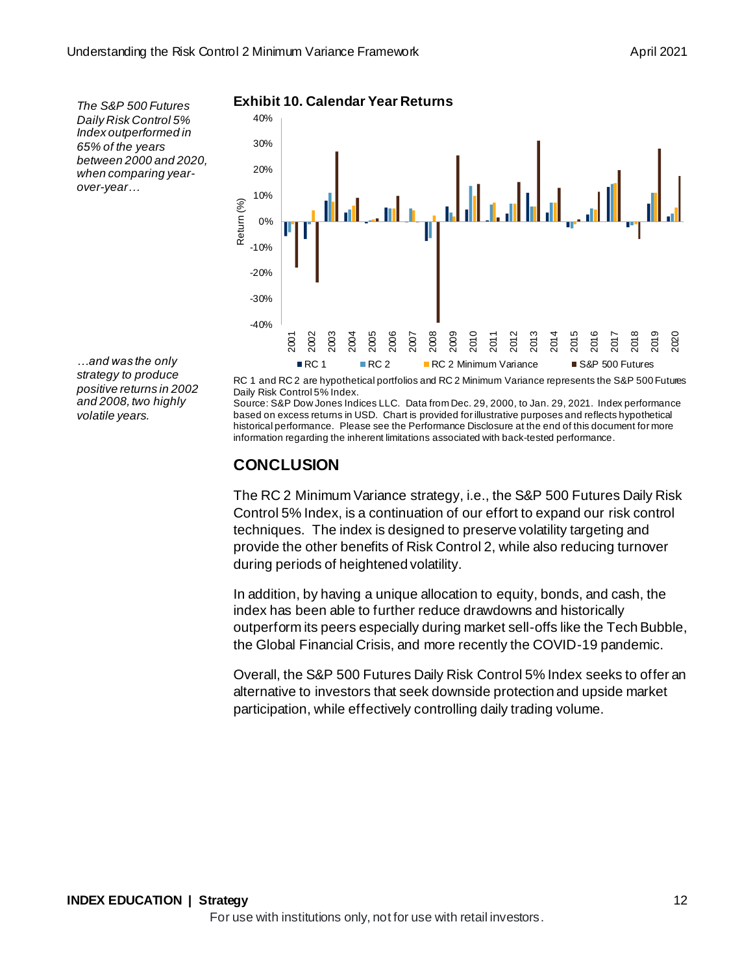*The S&P 500 Futures Daily Risk Control 5% Index outperformed in 65% of the years between 2000 and 2020, when comparing yearover-year…*

*…and was the only strategy to produce positive returns in 2002 and 2008, two highly volatile years.* 

**Exhibit 10. Calendar Year Returns**



RC 1 and RC 2 are hypothetical portfolios and RC 2 Minimum Variance represents the S&P 500 Futures Daily Risk Control 5% Index.

Source: S&P Dow Jones Indices LLC. Data from Dec. 29, 2000, to Jan. 29, 2021. Index performance based on excess returns in USD. Chart is provided for illustrative purposes and reflects hypothetical historical performance. Please see the Performance Disclosure at the end of this document for more information regarding the inherent limitations associated with back-tested performance.

## **CONCLUSION**

The RC 2 Minimum Variance strategy, i.e., the S&P 500 Futures Daily Risk Control 5% Index, is a continuation of our effort to expand our risk control techniques. The index is designed to preserve volatility targeting and provide the other benefits of Risk Control 2, while also reducing turnover during periods of heightened volatility.

In addition, by having a unique allocation to equity, bonds, and cash, the index has been able to further reduce drawdowns and historically outperform its peers especially during market sell-offs like the Tech Bubble, the Global Financial Crisis, and more recently the COVID-19 pandemic.

Overall, the S&P 500 Futures Daily Risk Control 5% Index seeks to offer an alternative to investors that seek downside protection and upside market participation, while effectively controlling daily trading volume.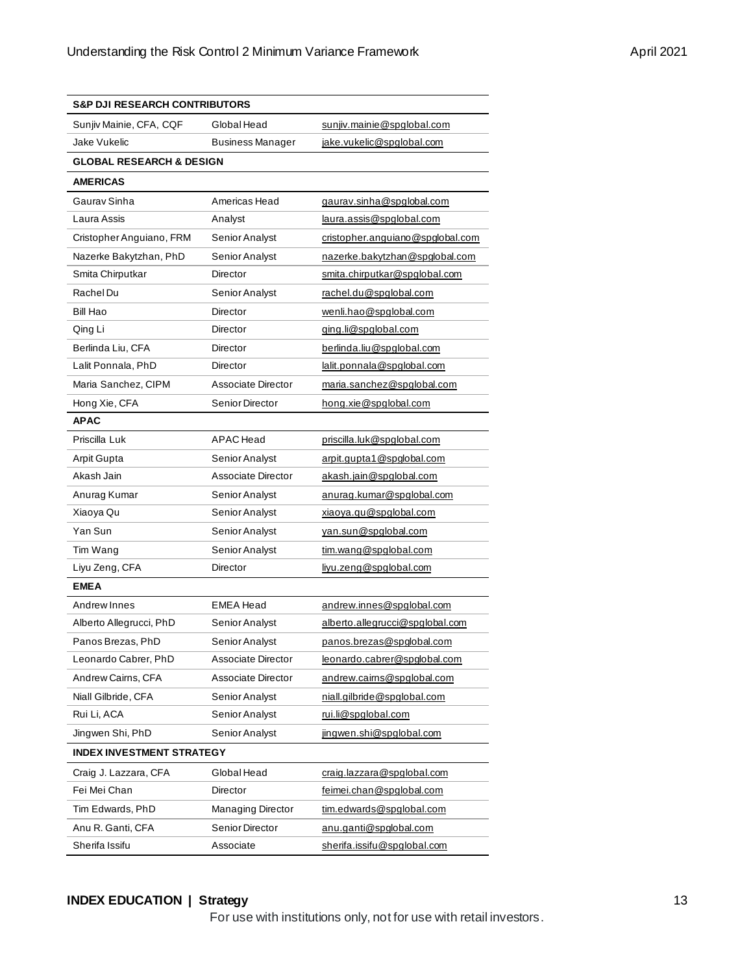| <b>S&amp;P DJI RESEARCH CONTRIBUTORS</b> |                          |                                  |
|------------------------------------------|--------------------------|----------------------------------|
| Sunjiv Mainie, CFA, CQF                  | Global Head              | sunjiv.mainie@spglobal.com       |
| Jake Vukelic                             | <b>Business Manager</b>  | jake.vukelic@spglobal.com        |
| <b>GLOBAL RESEARCH &amp; DESIGN</b>      |                          |                                  |
| <b>AMERICAS</b>                          |                          |                                  |
| Gaurav Sinha                             | Americas Head            | gaurav.sinha@spglobal.com        |
| Laura Assis                              | Analyst                  | laura.assis@spqlobal.com         |
| Cristopher Anguiano, FRM                 | Senior Analyst           | cristopher.anguiano@spglobal.com |
| Nazerke Bakytzhan, PhD                   | Senior Analyst           | nazerke.bakytzhan@spqlobal.com   |
| Smita Chirputkar                         | Director                 | smita.chirputkar@spglobal.com    |
| Rachel Du                                | Senior Analyst           | rachel.du@spqlobal.com           |
| Bill Hao                                 | Director                 | wenli.hao@spglobal.com           |
| Qing Li                                  | Director                 | ging.li@spglobal.com             |
| Berlinda Liu, CFA                        | Director                 | berlinda.liu@spglobal.com        |
| Lalit Ponnala, PhD                       | Director                 | lalit.ponnala@spqlobal.com       |
| Maria Sanchez, CIPM                      | Associate Director       | maria.sanchez@spglobal.com       |
| Hong Xie, CFA                            | Senior Director          | hong.xie@spglobal.com            |
| <b>APAC</b>                              |                          |                                  |
| Priscilla Luk                            | APAC Head                | priscilla.luk@spglobal.com       |
| Arpit Gupta                              | Senior Analyst           | arpit.qupta1@spqlobal.com        |
| Akash Jain                               | Associate Director       | akash.jain@spglobal.com          |
| Anurag Kumar                             | Senior Analyst           | anurag.kumar@spglobal.com        |
| Xiaoya Qu                                | Senior Analyst           | xiaoya.qu@spglobal.com           |
| Yan Sun                                  | Senior Analyst           | yan.sun@spglobal.com             |
| Tim Wang                                 | Senior Analyst           | tim.wang@spglobal.com            |
| Liyu Zeng, CFA                           | Director                 | liyu.zeng@spglobal.com           |
| <b>EMEA</b>                              |                          |                                  |
| Andrew Innes                             | <b>EMEA</b> Head         | andrew.innes@spqlobal.com        |
| Alberto Allegrucci, PhD                  | Senior Analyst           | alberto.allegrucci@spglobal.com  |
| Panos Brezas, PhD                        | Senior Analyst           | panos.brezas@spqlobal.com        |
| Leonardo Cabrer, PhD                     | Associate Director       | leonardo.cabrer@spglobal.com     |
| Andrew Cairns, CFA                       | Associate Director       | andrew.cairns@spqlobal.com       |
| Niall Gilbride, CFA                      | Senior Analyst           | niall.gilbride@spglobal.com      |
| Rui Li, ACA                              | Senior Analyst           | rui.li@spqlobal.com              |
| Jingwen Shi, PhD                         | Senior Analyst           | jingwen.shi@spglobal.com         |
| <b>INDEX INVESTMENT STRATEGY</b>         |                          |                                  |
| Craig J. Lazzara, CFA                    | Global Head              | craig.lazzara@spglobal.com       |
| Fei Mei Chan                             | Director                 | feimei.chan@spglobal.com         |
| Tim Edwards, PhD                         | <b>Managing Director</b> | tim.edwards@spglobal.com         |
| Anu R. Ganti, CFA                        | Senior Director          | anu.ganti@spglobal.com           |
| Sherifa Issifu                           | Associate                | sherifa.issifu@spqlobal.com      |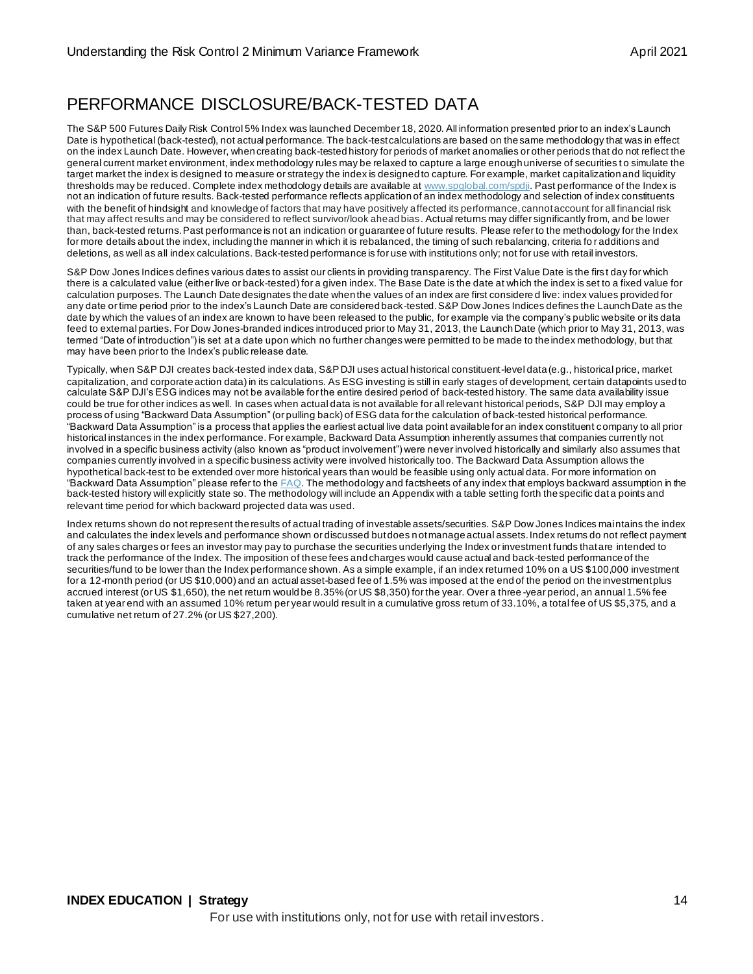# PERFORMANCE DISCLOSURE/BACK-TESTED DATA

The S&P 500 Futures Daily Risk Control 5% Index was launched December 18, 2020. All information presented prior to an index's Launch Date is hypothetical (back-tested), not actual performance. The back-test calculations are based on the same methodology that was in effect on the index Launch Date. However, when creating back-tested history for periods of market anomalies or other periods that do not reflect the general current market environment, index methodology rules may be relaxed to capture a large enough universe of securities to simulate the target market the index is designed to measure or strategy the index is designed to capture. For example, market capitalization and liquidity thresholds may be reduced. Complete index methodology details are available [at www.spglobal.com/spdji](http://www.spglobal.com/spdji). Past performance of the Index is not an indication of future results. Back-tested performance reflects application of an index methodology and selection of index constituents with the benefit of hindsight and knowledge of factors that may have positively affected its performance, cannot account for all financial risk that may affect results and may be considered to reflect survivor/look ahead bias. Actual returns may differ significantly from, and be lower than, back-tested returns. Past performance is not an indication or guarantee of future results. Please refer to the methodology for the Index for more details about the index, including the manner in which it is rebalanced, the timing of such rebalancing, criteria fo r additions and deletions, as well as all index calculations. Back-tested performance is for use with institutions only; not for use with retail investors.

S&P Dow Jones Indices defines various dates to assist our clients in providing transparency. The First Value Date is the first day for which there is a calculated value (either live or back-tested) for a given index. The Base Date is the date at which the index is set to a fixed value for calculation purposes. The Launch Date designates the date when the values of an index are first considere d live: index values provided for any date or time period prior to the index's Launch Date are considered back-tested. S&P Dow Jones Indices defines the Launch Date as the date by which the values of an index are known to have been released to the public, for example via the company's public website or its data feed to external parties. For Dow Jones-branded indices introduced prior to May 31, 2013, the Launch Date (which prior to May 31, 2013, was termed "Date of introduction") is set at a date upon which no further changes were permitted to be made to the index methodology, but that may have been prior to the Index's public release date.

Typically, when S&P DJI creates back-tested index data, S&P DJI uses actual historical constituent-level data (e.g., historical price, market capitalization, and corporate action data) in its calculations. As ESG investing is still in early stages of development, certain datapoints used to calculate S&P DJI's ESG indices may not be available for the entire desired period of back-tested history. The same data availability issue could be true for other indices as well. In cases when actual data is not available for all relevant historical periods, S&P DJI may employ a process of using "Backward Data Assumption" (or pulling back) of ESG data for the calculation of back-tested historical performance. "Backward Data Assumption" is a process that applies the earliest actual live data point available for an index constituent company to all prior historical instances in the index performance. For example, Backward Data Assumption inherently assumes that companies currently not involved in a specific business activity (also known as "product involvement") were never involved historically and similarly also assumes that companies currently involved in a specific business activity were involved historically too. The Backward Data Assumption allows the hypothetical back-test to be extended over more historical years than would be feasible using only actual data. For more information on "Backward Data Assumption" please refer to the  $FAQ$ . The methodology and factsheets of any index that employs backward assumption in the back-tested history will explicitly state so. The methodology will include an Appendix with a table setting forth the specific dat a points and relevant time period for which backward projected data was used.

Index returns shown do not represent the results of actual trading of investable assets/securities. S&P Dow Jones Indices maintains the index and calculates the index levels and performance shown or discussed but does not manage actual assets. Index returns do not reflect payment of any sales charges or fees an investor may pay to purchase the securities underlying the Index or investment funds that are intended to track the performance of the Index. The imposition of these fees and charges would cause actual and back-tested performance of the securities/fund to be lower than the Index performance shown. As a simple example, if an index returned 10% on a US \$100,000 investment for a 12-month period (or US \$10,000) and an actual asset-based fee of 1.5% was imposed at the end of the period on the investment plus accrued interest (or US \$1,650), the net return would be 8.35% (or US \$8,350) for the year. Over a three -year period, an annual 1.5% fee taken at year end with an assumed 10% return per year would result in a cumulative gross return of 33.10%, a total fee of US \$5,375, and a cumulative net return of 27.2% (or US \$27,200).